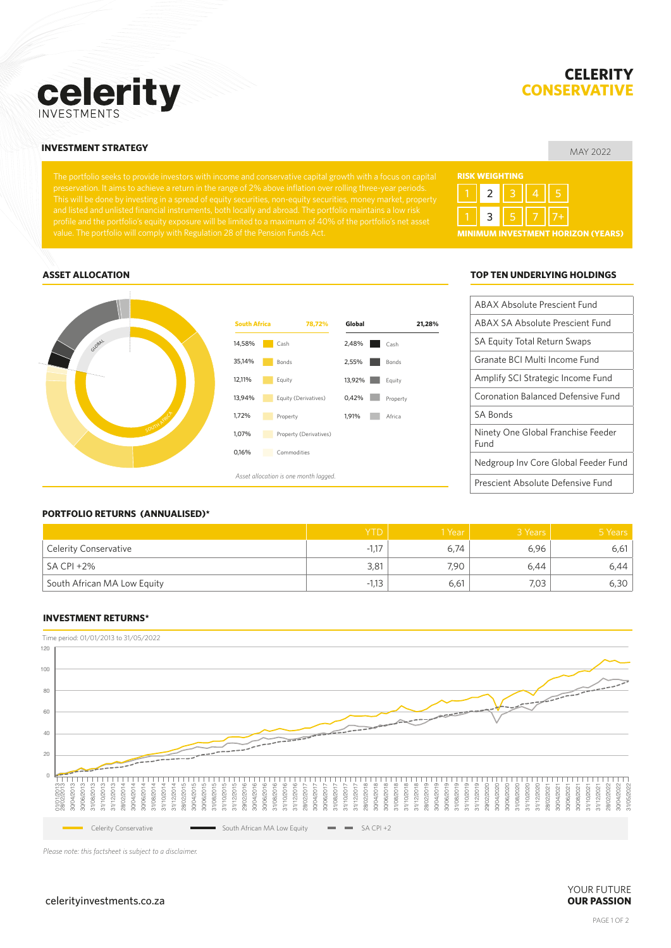

# **CELERITY CONSERVATIV**

### MAY 2022 **INVESTMENT STRATEGY**

# **RISK WEIGHTING MINIMUM INVESTMENT HORIZON (YEARS)** 1 || 2 || 3 || 4 || 5 1 **3 5** 5 7 7 7 7 <del>1</del>



#### **ASSET ALLOCATION TOP TEN UNDERLYING HOLDINGS**

| ABAX Absolute Prescient Fund               |
|--------------------------------------------|
| ABAX SA Absolute Prescient Fund            |
| SA Equity Total Return Swaps               |
| Granate BCI Multi Income Fund              |
| Amplify SCI Strategic Income Fund          |
| Coronation Balanced Defensive Fund         |
| <b>SA Bonds</b>                            |
| Ninety One Global Franchise Feeder<br>Fund |
| Nedgroup Inv Core Global Feeder Fund       |
| Prescient Absolute Defensive Fund          |

#### **PORTFOLIO RETURNS (ANNUALISED)\***

|                              | <b>YTD</b>    | 1 Year | 3 Years | 5 Years |
|------------------------------|---------------|--------|---------|---------|
| <b>Celerity Conservative</b> | -1.17<br>- 11 | 6,74   | 6,96    | 6,61    |
| <sup>1</sup> SA CPI +2%      | 3,81          | 7.90   | 6,44    | 6,44    |
| South African MA Low Equity  | $-1,13$       | 6,61   | 7,03    | 6,30    |

#### **INVESTMENT RETURNS\***



*Please note: this factsheet is subject to a disclaimer.*

#### celerityinvestments.co.za **OUR PASSION**

# YOUR FUTURE